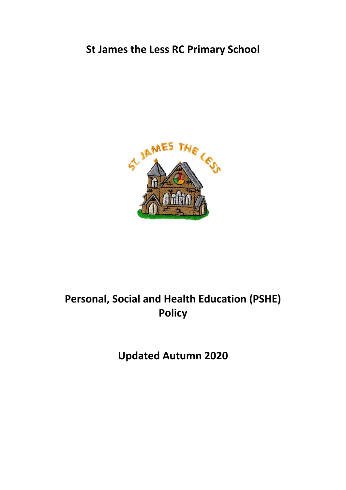## **St James the Less RC Primary School**



# **Personal, Social and Health Education (PSHE) Policy**

**Updated Autumn 2020**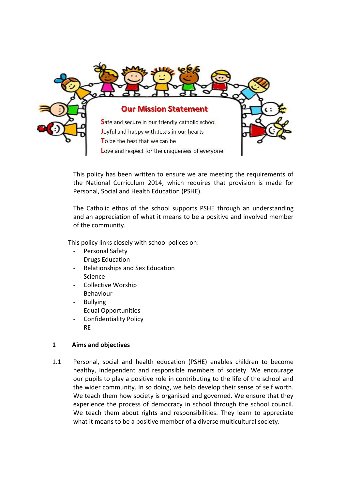

This policy has been written to ensure we are meeting the requirements of the National Curriculum 2014, which requires that provision is made for Personal, Social and Health Education (PSHE).

The Catholic ethos of the school supports PSHE through an understanding and an appreciation of what it means to be a positive and involved member of the community.

This policy links closely with school polices on:

- Personal Safety
- Drugs Education
- Relationships and Sex Education
- Science
- Collective Worship
- **Behaviour**
- **Bullying**
- Equal Opportunities
- Confidentiality Policy
- RE

#### **1 Aims and objectives**

1.1 Personal, social and health education (PSHE) enables children to become healthy, independent and responsible members of society. We encourage our pupils to play a positive role in contributing to the life of the school and the wider community. In so doing, we help develop their sense of self worth. We teach them how society is organised and governed. We ensure that they experience the process of democracy in school through the school council. We teach them about rights and responsibilities. They learn to appreciate what it means to be a positive member of a diverse multicultural society.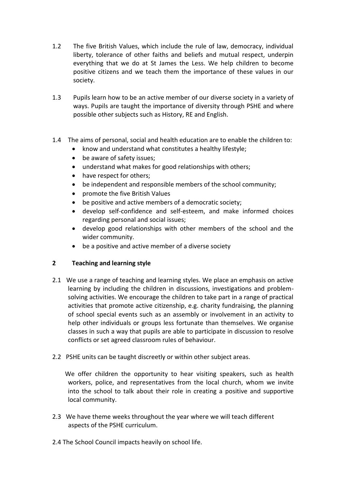- 1.2 The five British Values, which include the rule of law, democracy, individual liberty, tolerance of other faiths and beliefs and mutual respect, underpin everything that we do at St James the Less. We help children to become positive citizens and we teach them the importance of these values in our society.
- 1.3 Pupils learn how to be an active member of our diverse society in a variety of ways. Pupils are taught the importance of diversity through PSHE and where possible other subjects such as History, RE and English.
- 1.4 The aims of personal, social and health education are to enable the children to:
	- know and understand what constitutes a healthy lifestyle;
	- be aware of safety issues;
	- understand what makes for good relationships with others;
	- have respect for others;
	- be independent and responsible members of the school community;
	- promote the five British Values
	- be positive and active members of a democratic society;
	- develop self-confidence and self-esteem, and make informed choices regarding personal and social issues;
	- develop good relationships with other members of the school and the wider community.
	- be a positive and active member of a diverse society

### **2 Teaching and learning style**

- 2.1 We use a range of teaching and learning styles. We place an emphasis on active learning by including the children in discussions, investigations and problemsolving activities. We encourage the children to take part in a range of practical activities that promote active citizenship, e.g. charity fundraising, the planning of school special events such as an assembly or involvement in an activity to help other individuals or groups less fortunate than themselves. We organise classes in such a way that pupils are able to participate in discussion to resolve conflicts or set agreed classroom rules of behaviour.
- 2.2 PSHE units can be taught discreetly or within other subject areas.

We offer children the opportunity to hear visiting speakers, such as health workers, police, and representatives from the local church, whom we invite into the school to talk about their role in creating a positive and supportive local community.

- 2.3 We have theme weeks throughout the year where we will teach different aspects of the PSHE curriculum.
- 2.4 The School Council impacts heavily on school life.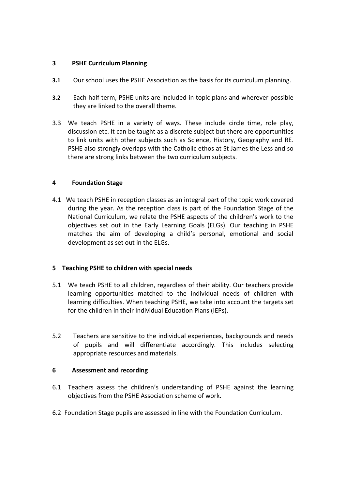#### **3 PSHE Curriculum Planning**

- **3.1** Our school uses the PSHE Association as the basis for its curriculum planning.
- **3.2** Each half term, PSHE units are included in topic plans and wherever possible they are linked to the overall theme.
- 3.3 We teach PSHE in a variety of ways. These include circle time, role play, discussion etc. It can be taught as a discrete subject but there are opportunities to link units with other subjects such as Science, History, Geography and RE. PSHE also strongly overlaps with the Catholic ethos at St James the Less and so there are strong links between the two curriculum subjects.

#### **4 Foundation Stage**

4.1 We teach PSHE in reception classes as an integral part of the topic work covered during the year. As the reception class is part of the Foundation Stage of the National Curriculum, we relate the PSHE aspects of the children's work to the objectives set out in the Early Learning Goals (ELGs). Our teaching in PSHE matches the aim of developing a child's personal, emotional and social development as set out in the ELGs.

#### **5 Teaching PSHE to children with special needs**

- 5.1 We teach PSHE to all children, regardless of their ability. Our teachers provide learning opportunities matched to the individual needs of children with learning difficulties. When teaching PSHE, we take into account the targets set for the children in their Individual Education Plans (IEPs).
- 5.2 Teachers are sensitive to the individual experiences, backgrounds and needs of pupils and will differentiate accordingly. This includes selecting appropriate resources and materials.

#### **6 Assessment and recording**

- 6.1 Teachers assess the children's understanding of PSHE against the learning objectives from the PSHE Association scheme of work.
- 6.2 Foundation Stage pupils are assessed in line with the Foundation Curriculum.